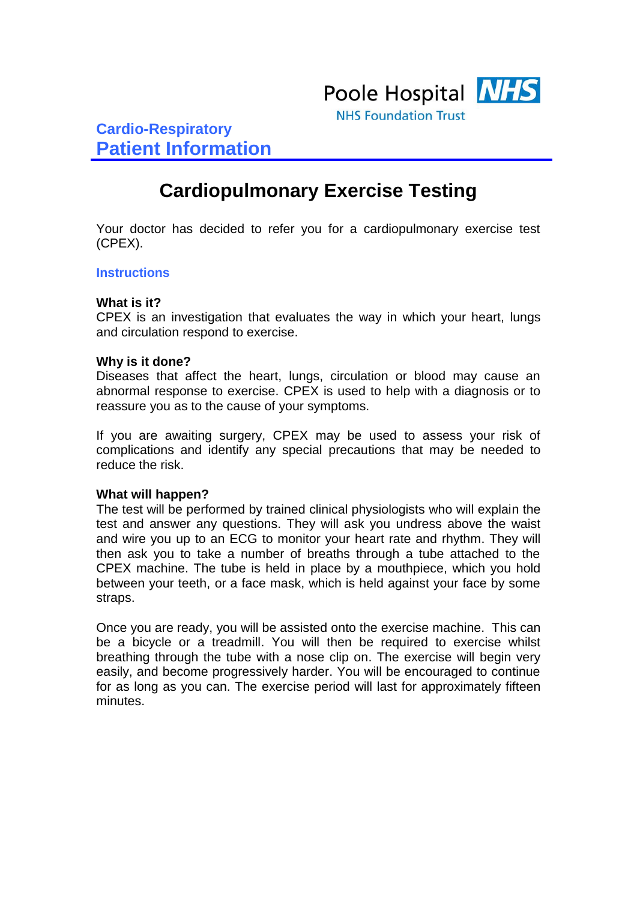

**Cardio-Respiratory Patient Information**

# **Cardiopulmonary Exercise Testing**

Your doctor has decided to refer you for a cardiopulmonary exercise test (CPEX).

## **Instructions**

#### **What is it?**

CPEX is an investigation that evaluates the way in which your heart, lungs and circulation respond to exercise.

## **Why is it done?**

Diseases that affect the heart, lungs, circulation or blood may cause an abnormal response to exercise. CPEX is used to help with a diagnosis or to reassure you as to the cause of your symptoms.

If you are awaiting surgery, CPEX may be used to assess your risk of complications and identify any special precautions that may be needed to reduce the risk.

#### **What will happen?**

The test will be performed by trained clinical physiologists who will explain the test and answer any questions. They will ask you undress above the waist and wire you up to an ECG to monitor your heart rate and rhythm. They will then ask you to take a number of breaths through a tube attached to the CPEX machine. The tube is held in place by a mouthpiece, which you hold between your teeth, or a face mask, which is held against your face by some straps.

Once you are ready, you will be assisted onto the exercise machine. This can be a bicycle or a treadmill. You will then be required to exercise whilst breathing through the tube with a nose clip on. The exercise will begin very easily, and become progressively harder. You will be encouraged to continue for as long as you can. The exercise period will last for approximately fifteen minutes.